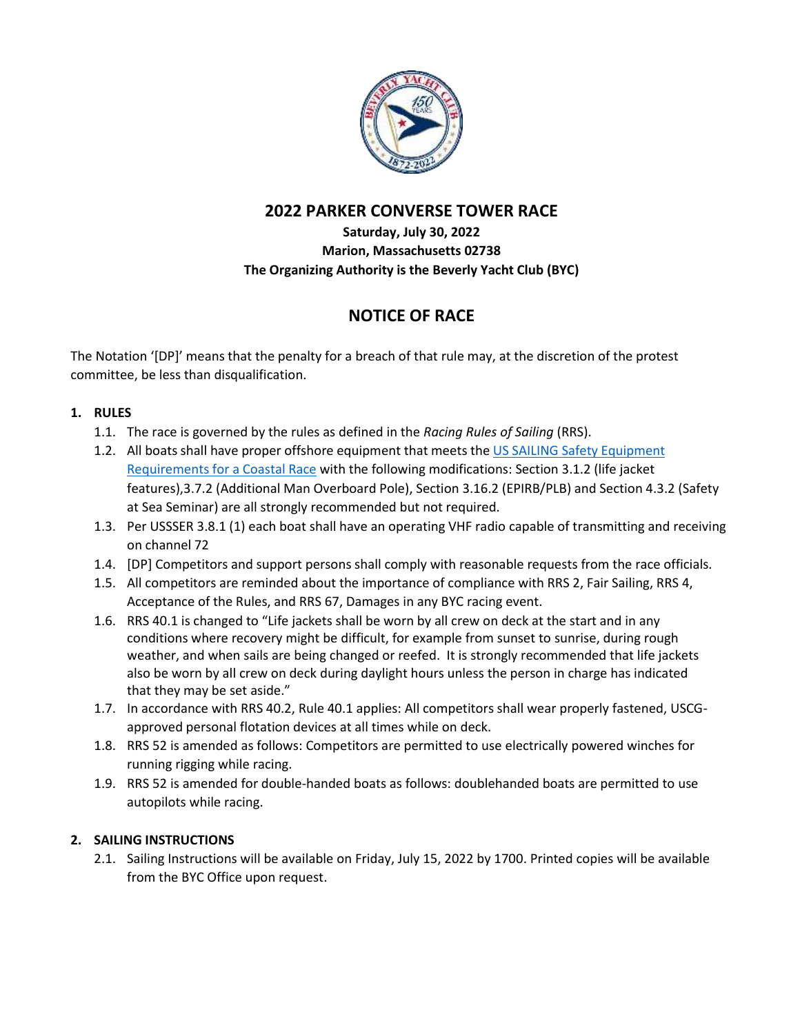

# **2022 PARKER CONVERSE TOWER RACE**

# **Saturday, July 30, 2022 Marion, Massachusetts 02738 The Organizing Authority is the Beverly Yacht Club (BYC)**

# **NOTICE OF RACE**

The Notation '[DP]' means that the penalty for a breach of that rule may, at the discretion of the protest committee, be less than disqualification.

# **1. RULES**

- 1.1. The race is governed by the rules as defined in the *Racing Rules of Sailing* (RRS).
- 1.2. All boats shall have proper offshore equipment that meets the US SAILING Safety [Equipment](https://www.ussailing.org/competition/offshore/safety-information/ser-world-sailing-special-regulations/) [Requirements](https://www.ussailing.org/competition/offshore/safety-information/ser-world-sailing-special-regulations/) for a Coastal Race with the following modifications: Section 3.1.2 (life jacket features),3.7.2 (Additional Man Overboard Pole), Section 3.16.2 (EPIRB/PLB) and Section 4.3.2 (Safety at Sea Seminar) are all strongly recommended but not required.
- 1.3. Per USSSER 3.8.1 (1) each boat shall have an operating VHF radio capable of transmitting and receiving on channel 72
- 1.4. [DP] Competitors and support persons shall comply with reasonable requests from the race officials.
- 1.5. All competitors are reminded about the importance of compliance with RRS 2, Fair Sailing, RRS 4, Acceptance of the Rules, and RRS 67, Damages in any BYC racing event.
- 1.6. RRS 40.1 is changed to "Life jackets shall be worn by all crew on deck at the start and in any conditions where recovery might be difficult, for example from sunset to sunrise, during rough weather, and when sails are being changed or reefed. It is strongly recommended that life jackets also be worn by all crew on deck during daylight hours unless the person in charge has indicated that they may be set aside."
- 1.7. In accordance with RRS 40.2, Rule 40.1 applies: All competitors shall wear properly fastened, USCGapproved personal flotation devices at all times while on deck.
- 1.8. RRS 52 is amended as follows: Competitors are permitted to use electrically powered winches for running rigging while racing.
- 1.9. RRS 52 is amended for double-handed boats as follows: doublehanded boats are permitted to use autopilots while racing.

# **2. SAILING INSTRUCTIONS**

2.1. Sailing Instructions will be available on Friday, July 15, 2022 by 1700. Printed copies will be available from the BYC Office upon request.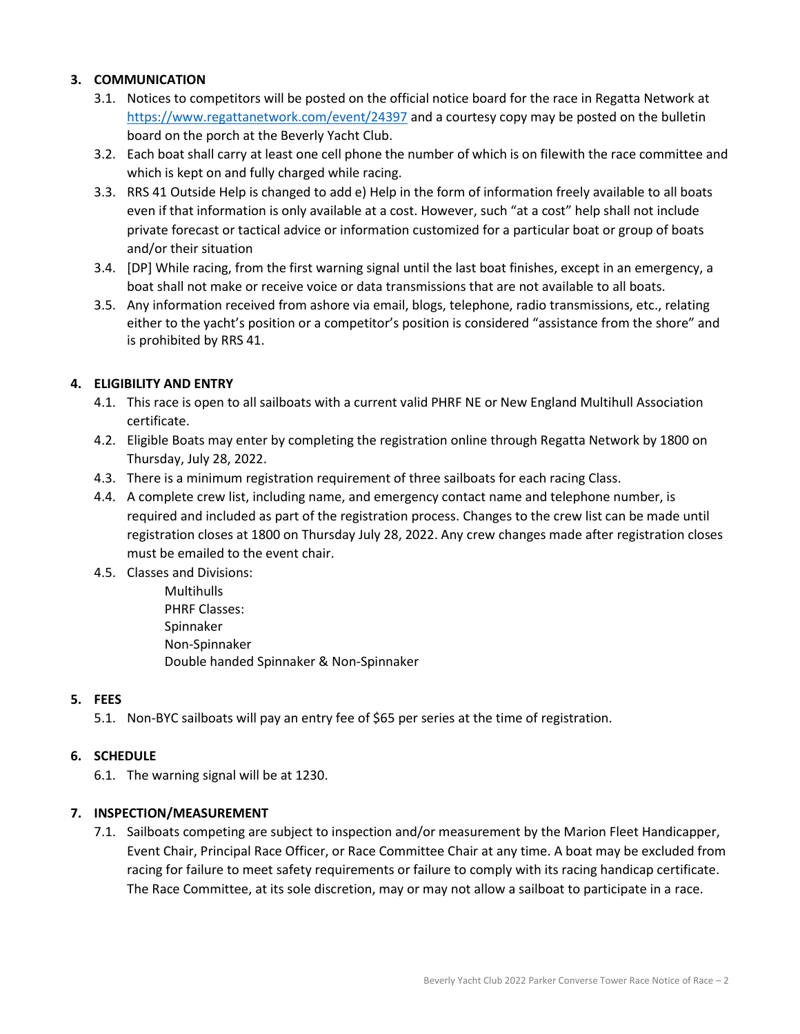## **3. COMMUNICATION**

- 3.1. Notices to competitors will be posted on the official notice board for the race in Regatta Network at <https://www.regattanetwork.com/event/24397> and a courtesy copy may be posted on the bulletin board on the porch at the Beverly Yacht Club.
- 3.2. Each boat shall carry at least one cell phone the number of which is on file with the race committee and which is kept on and fully charged while racing.
- 3.3. RRS 41 Outside Help is changed to add e) Help in the form of information freely available to all boats even if that information is only available at a cost. However, such "at a cost" help shall not include private forecast or tactical advice or information customized for a particular boat or group of boats and/or their situation
- 3.4. [DP] While racing, from the first warning signal until the last boat finishes, except in an emergency, a boat shall not make or receive voice or data transmissions that are not available to all boats.
- 3.5. Any information received from ashore via email, blogs, telephone, radio transmissions, etc., relating either to the yacht's position or a competitor's position is considered "assistance from the shore" and is prohibited by RRS 41.

## **4. ELIGIBILITY AND ENTRY**

- 4.1. This race is open to all sailboats with a current valid PHRF NE or New England Multihull Association certificate.
- 4.2. Eligible Boats may enter by completing the registration online through Regatta Network by 1800 on Thursday, July 28, 2022.
- 4.3. There is a minimum registration requirement of three sailboats for each racing Class.
- 4.4. A complete crew list, including name, and emergency contact name and telephone number, is required and included as part of the registration process. Changes to the crew list can be made until registration closes at 1800 on Thursday July 28, 2022. Any crew changes made after registration closes must be emailed to the event chair.
- 4.5. Classes and Divisions:

**Multihulls** PHRF Classes: Spinnaker Non-Spinnaker Double handed Spinnaker & Non-Spinnaker

#### **5. FEES**

5.1. Non-BYC sailboats will pay an entry fee of \$65 per series at the time of registration.

#### **6. SCHEDULE**

6.1. The warning signal will be at 1230.

#### **7. INSPECTION/MEASUREMENT**

7.1. Sailboats competing are subject to inspection and/or measurement by the Marion Fleet Handicapper, Event Chair, Principal Race Officer, or Race Committee Chair at any time. A boat may be excluded from racing for failure to meet safety requirements or failure to comply with its racing handicap certificate. The Race Committee, at its sole discretion, may or may not allow a sailboat to participate in a race.